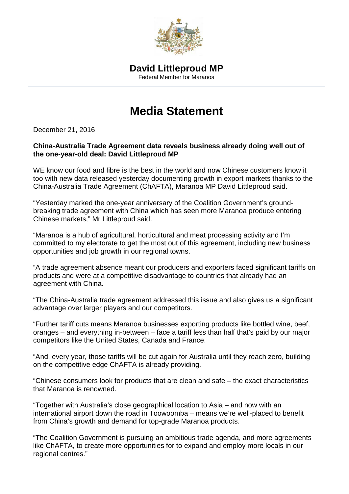

## **Media Statement**

December 21, 2016

## **China-Australia Trade Agreement data reveals business already doing well out of the one-year-old deal: David Littleproud MP**

WE know our food and fibre is the best in the world and now Chinese customers know it too with new data released yesterday documenting growth in export markets thanks to the China-Australia Trade Agreement (ChAFTA), Maranoa MP David Littleproud said.

"Yesterday marked the one-year anniversary of the Coalition Government's groundbreaking trade agreement with China which has seen more Maranoa produce entering Chinese markets," Mr Littleproud said.

"Maranoa is a hub of agricultural, horticultural and meat processing activity and I'm committed to my electorate to get the most out of this agreement, including new business opportunities and job growth in our regional towns.

"A trade agreement absence meant our producers and exporters faced significant tariffs on products and were at a competitive disadvantage to countries that already had an agreement with China.

"The China-Australia trade agreement addressed this issue and also gives us a significant advantage over larger players and our competitors.

"Further tariff cuts means Maranoa businesses exporting products like bottled wine, beef, oranges – and everything in-between – face a tariff less than half that's paid by our major competitors like the United States, Canada and France.

"And, every year, those tariffs will be cut again for Australia until they reach zero, building on the competitive edge ChAFTA is already providing.

"Chinese consumers look for products that are clean and safe – the exact characteristics that Maranoa is renowned.

"Together with Australia's close geographical location to Asia – and now with an international airport down the road in Toowoomba – means we're well-placed to benefit from China's growth and demand for top-grade Maranoa products.

"The Coalition Government is pursuing an ambitious trade agenda, and more agreements like ChAFTA, to create more opportunities for to expand and employ more locals in our regional centres."